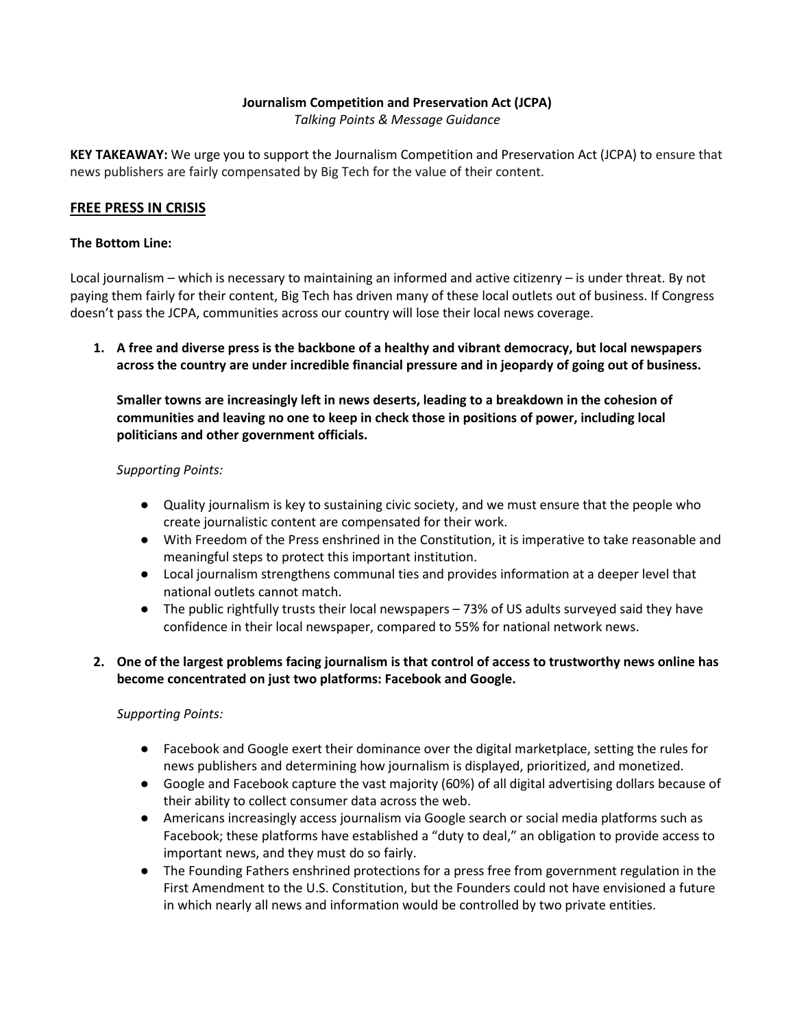## **Journalism Competition and Preservation Act (JCPA)**

*Talking Points & Message Guidance*

**KEY TAKEAWAY:** We urge you to support the Journalism Competition and Preservation Act (JCPA) to ensure that news publishers are fairly compensated by Big Tech for the value of their content.

### **FREE PRESS IN CRISIS**

#### **The Bottom Line:**

Local journalism – which is necessary to maintaining an informed and active citizenry – is under threat. By not paying them fairly for their content, Big Tech has driven many of these local outlets out of business. If Congress doesn't pass the JCPA, communities across our country will lose their local news coverage.

**1. A free and diverse press is the backbone of a healthy and vibrant democracy, but local newspapers across the country are under incredible financial pressure and in jeopardy of going out of business.**

**Smaller towns are increasingly left in news deserts, leading to a breakdown in the cohesion of communities and leaving no one to keep in check those in positions of power, including local politicians and other government officials.** 

#### *Supporting Points:*

- Quality journalism is key to sustaining civic society, and we must ensure that the people who create journalistic content are compensated for their work.
- With Freedom of the Press enshrined in the Constitution, it is imperative to take reasonable and meaningful steps to protect this important institution.
- Local journalism strengthens communal ties and provides information at a deeper level that national outlets cannot match.
- The public rightfully trusts their local newspapers 73% of US adults surveyed said they have confidence in their local newspaper, compared to 55% for national network news.

## **2. One of the largest problems facing journalism is that control of access to trustworthy news online has become concentrated on just two platforms: Facebook and Google.**

### *Supporting Points:*

- Facebook and Google exert their dominance over the digital marketplace, setting the rules for news publishers and determining how journalism is displayed, prioritized, and monetized.
- Google and Facebook capture the vast majority (60%) of all digital advertising dollars because of their ability to collect consumer data across the web.
- Americans increasingly access journalism via Google search or social media platforms such as Facebook; these platforms have established a "duty to deal," an obligation to provide access to important news, and they must do so fairly.
- The Founding Fathers enshrined protections for a press free from government regulation in the First Amendment to the U.S. Constitution, but the Founders could not have envisioned a future in which nearly all news and information would be controlled by two private entities.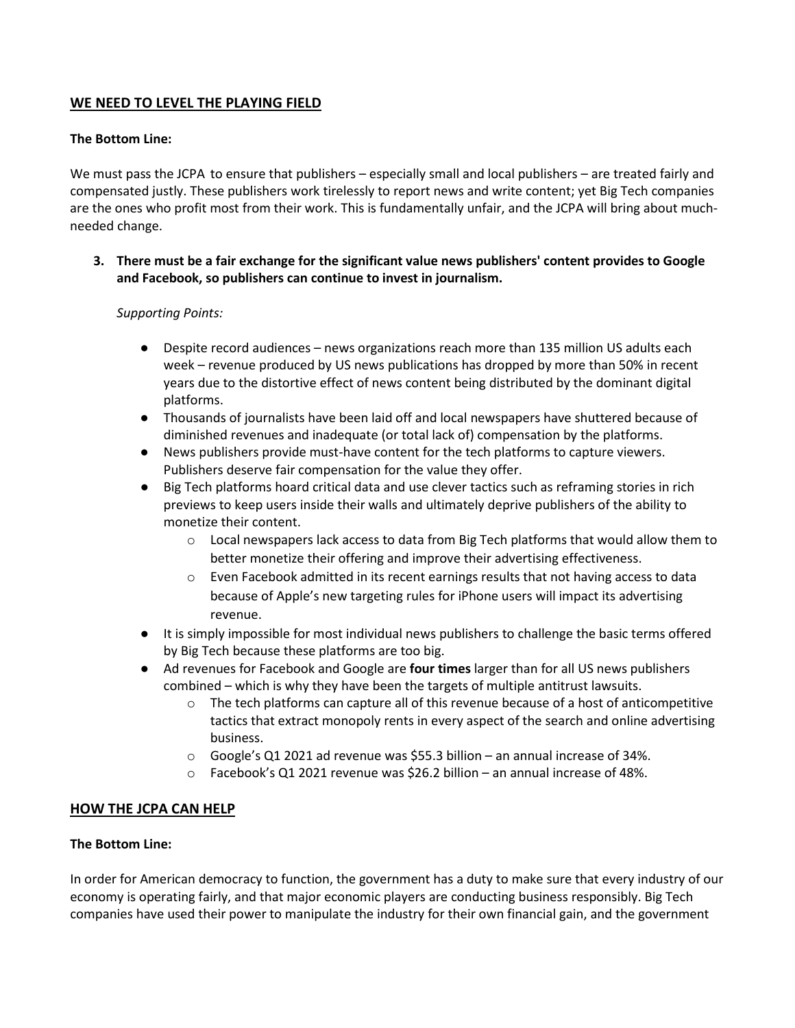# **WE NEED TO LEVEL THE PLAYING FIELD**

## **The Bottom Line:**

We must pass the JCPA to ensure that publishers – especially small and local publishers – are treated fairly and compensated justly. These publishers work tirelessly to report news and write content; yet Big Tech companies are the ones who profit most from their work. This is fundamentally unfair, and the JCPA will bring about muchneeded change.

**3. There must be a fair exchange for the significant value news publishers' content provides to Google and Facebook, so publishers can continue to invest in journalism.** 

### *Supporting Points:*

- Despite record audiences news organizations reach more than 135 million US adults each week – revenue produced by US news publications has dropped by more than 50% in recent years due to the distortive effect of news content being distributed by the dominant digital platforms.
- Thousands of journalists have been laid off and local newspapers have shuttered because of diminished revenues and inadequate (or total lack of) compensation by the platforms.
- News publishers provide must-have content for the tech platforms to capture viewers. Publishers deserve fair compensation for the value they offer.
- Big Tech platforms hoard critical data and use clever tactics such as reframing stories in rich previews to keep users inside their walls and ultimately deprive publishers of the ability to monetize their content.
	- o Local newspapers lack access to data from Big Tech platforms that would allow them to better monetize their offering and improve their advertising effectiveness.
	- Even Facebook admitted in its recent earnings results that not having access to data because of Apple's new targeting rules for iPhone users will impact its advertising revenue.
- It is simply impossible for most individual news publishers to challenge the basic terms offered by Big Tech because these platforms are too big.
- Ad revenues for Facebook and Google are **four times** larger than for all US news publishers combined – which is why they have been the targets of multiple antitrust lawsuits.
	- $\circ$  The tech platforms can capture all of this revenue because of a host of anticompetitive tactics that extract monopoly rents in every aspect of the search and online advertising business.
	- $\circ$  Google's Q1 2021 ad revenue was \$55.3 billion an annual increase of 34%.
	- o Facebook's Q1 2021 revenue was \$26.2 billion an annual increase of 48%.

# **HOW THE JCPA CAN HELP**

### **The Bottom Line:**

In order for American democracy to function, the government has a duty to make sure that every industry of our economy is operating fairly, and that major economic players are conducting business responsibly. Big Tech companies have used their power to manipulate the industry for their own financial gain, and the government